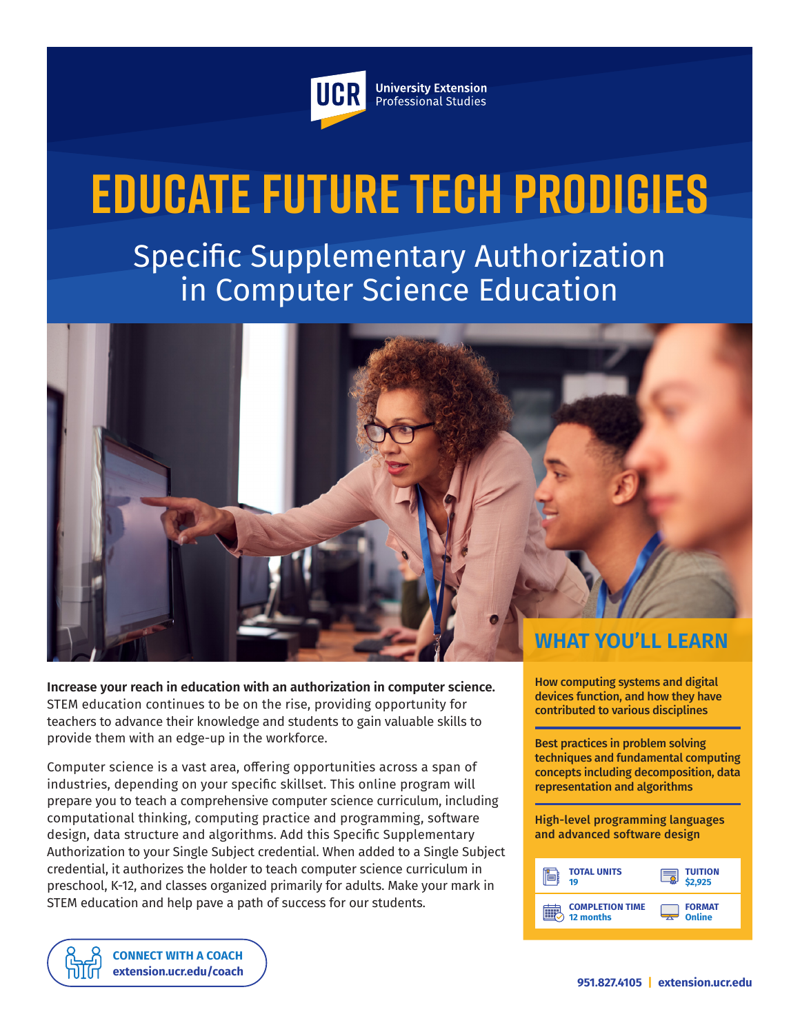

**University Extension** Professional Studies

# **Educate Future Tech Prodigies**

Specific Supplementary Authorization in Computer Science Education



**Increase your reach in education with an authorization in computer science.** STEM education continues to be on the rise, providing opportunity for teachers to advance their knowledge and students to gain valuable skills to provide them with an edge-up in the workforce.

Computer science is a vast area, offering opportunities across a span of industries, depending on your specific skillset. This online program will prepare you to teach a comprehensive computer science curriculum, including computational thinking, computing practice and programming, software design, data structure and algorithms. Add this Specific Supplementary Authorization to your Single Subject credential. When added to a Single Subject credential, it authorizes the holder to teach computer science curriculum in preschool, K-12, and classes organized primarily for adults. Make your mark in STEM education and help pave a path of success for our students.

How computing systems and digital devices function, and how they have contributed to various disciplines

Best practices in problem solving techniques and fundamental computing concepts including decomposition, data representation and algorithms

High-level programming languages and advanced software design

| <b>TOTAL UNITS</b>     | <b>TUITION</b> |
|------------------------|----------------|
| 19                     | 2.925          |
| <b>COMPLETION TIME</b> | <b>FORMAT</b>  |
| 12 months              | Online         |

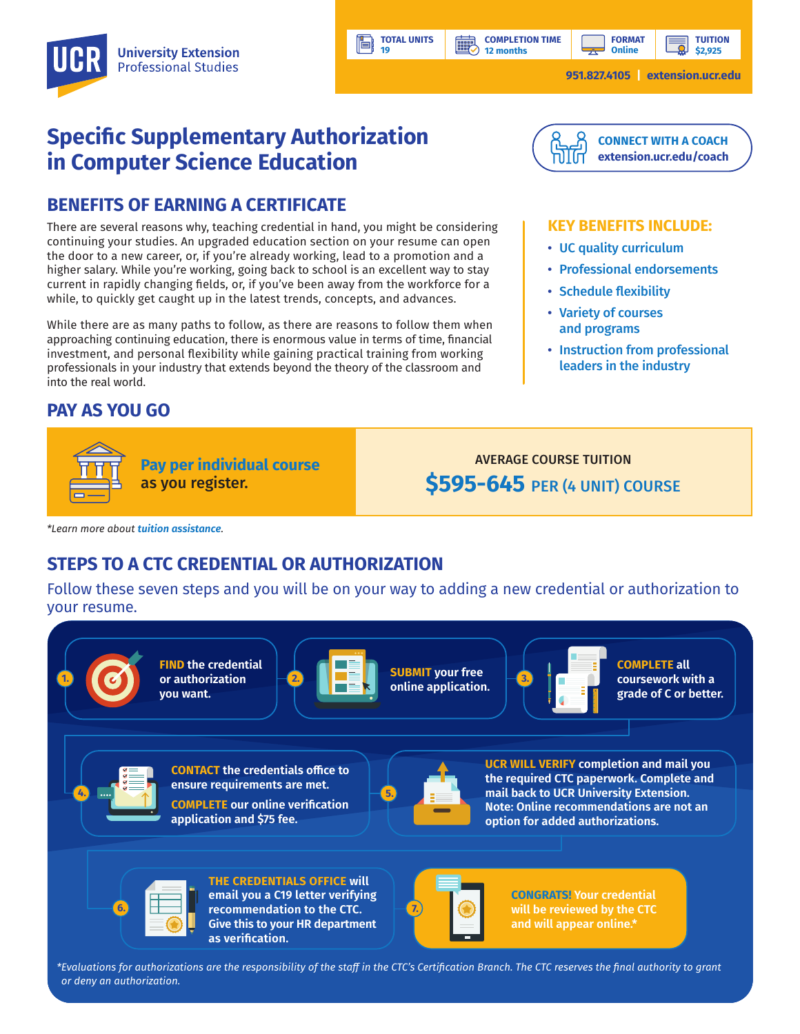**12 months**

**HILL** 

**TUITION**

**951.827.4105 | [extension.ucr.edu](http://extension.ucr.edu)**

# **Specific Supplementary Authorization in Computer Science Education**

### **BENEFITS OF EARNING A CERTIFICATE**

There are several reasons why, teaching credential in hand, you might be considering continuing your studies. An upgraded education section on your resume can open the door to a new career, or, if you're already working, lead to a promotion and a higher salary. While you're working, going back to school is an excellent way to stay current in rapidly changing fields, or, if you've been away from the workforce for a while, to quickly get caught up in the latest trends, concepts, and advances.

While there are as many paths to follow, as there are reasons to follow them when approaching continuing education, there is enormous value in terms of time, financial investment, and personal flexibility while gaining practical training from working professionals in your industry that extends beyond the theory of the classroom and into the real world.

## **PAY AS YOU GO**



AVERAGE COURSE TUITION **\$595-645** PER (4 UNIT) COURSE

*\*Learn more about [tuition assistance](https://extension.ucr.edu/helpcenterstudentresources/financialandtuitionassistance).*

## **STEPS TO A CTC CREDENTIAL OR AUTHORIZATION**

Follow these seven steps and you will be on your way to adding a new credential or authorization to your resume.

**TOTAL UNITS 19**



*\*Evaluations for authorizations are the responsibility of the staff in the CTC's Certification Branch. The CTC reserves the final authority to grant or deny an authorization.*



#### **KEY BENEFITS INCLUDE:**

- UC quality curriculum
- Professional endorsements
- Schedule flexibility
- Variety of courses and programs
- Instruction from professional leaders in the industry